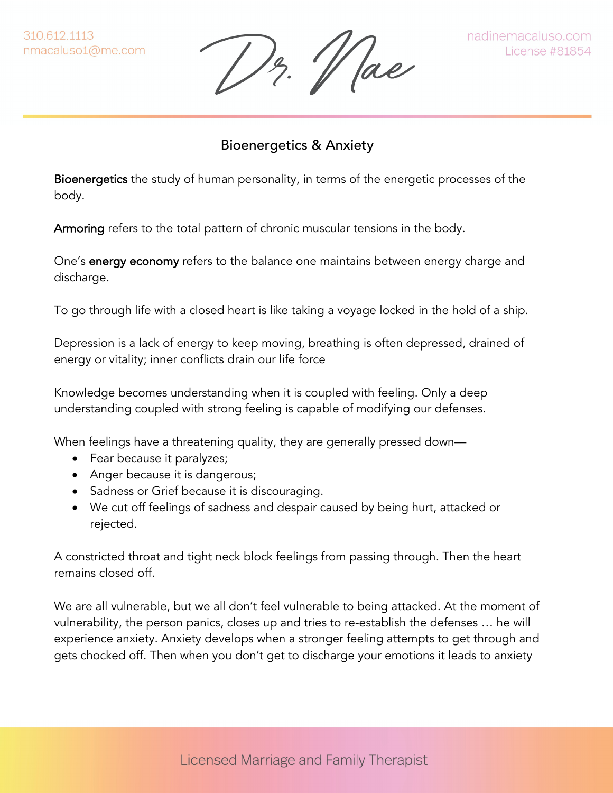'/ ae

## Bioenergetics & Anxiety

Bioenergetics the study of human personality, in terms of the energetic processes of the body.

Armoring refers to the total pattern of chronic muscular tensions in the body.

One's energy economy refers to the balance one maintains between energy charge and discharge.

To go through life with a closed heart is like taking a voyage locked in the hold of a ship.

Depression is a lack of energy to keep moving, breathing is often depressed, drained of energy or vitality; inner conflicts drain our life force

Knowledge becomes understanding when it is coupled with feeling. Only a deep understanding coupled with strong feeling is capable of modifying our defenses.

When feelings have a threatening quality, they are generally pressed down—

- Fear because it paralyzes;
- Anger because it is dangerous;
- Sadness or Grief because it is discouraging.
- We cut off feelings of sadness and despair caused by being hurt, attacked or rejected.

A constricted throat and tight neck block feelings from passing through. Then the heart remains closed off.

We are all vulnerable, but we all don't feel vulnerable to being attacked. At the moment of vulnerability, the person panics, closes up and tries to re-establish the defenses … he will experience anxiety. Anxiety develops when a stronger feeling attempts to get through and gets chocked off. Then when you don't get to discharge your emotions it leads to anxiety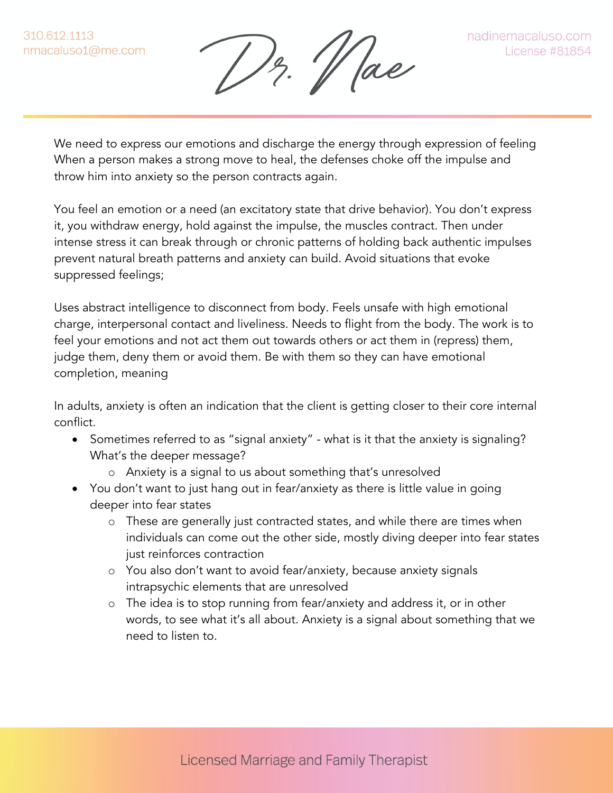12. Vae

We need to express our emotions and discharge the energy through expression of feeling When a person makes a strong move to heal, the defenses choke off the impulse and throw him into anxiety so the person contracts again.

You feel an emotion or a need (an excitatory state that drive behavior). You don't express it, you withdraw energy, hold against the impulse, the muscles contract. Then under intense stress it can break through or chronic patterns of holding back authentic impulses prevent natural breath patterns and anxiety can build. Avoid situations that evoke suppressed feelings;

Uses abstract intelligence to disconnect from body. Feels unsafe with high emotional charge, interpersonal contact and liveliness. Needs to flight from the body. The work is to feel your emotions and not act them out towards others or act them in (repress) them, judge them, deny them or avoid them. Be with them so they can have emotional completion, meaning

In adults, anxiety is often an indication that the client is getting closer to their core internal conflict.

- Sometimes referred to as "signal anxiety" what is it that the anxiety is signaling? What's the deeper message?
	- o Anxiety is a signal to us about something that's unresolved
- You don't want to just hang out in fear/anxiety as there is little value in going deeper into fear states
	- o These are generally just contracted states, and while there are times when individuals can come out the other side, mostly diving deeper into fear states just reinforces contraction
	- o You also don't want to avoid fear/anxiety, because anxiety signals intrapsychic elements that are unresolved
	- o The idea is to stop running from fear/anxiety and address it, or in other words, to see what it's all about. Anxiety is a signal about something that we need to listen to.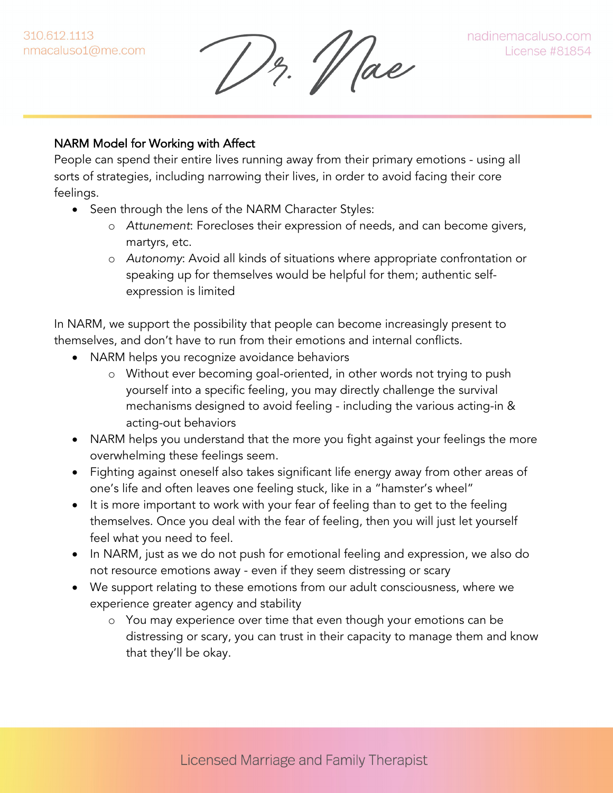$\frac{1}{2}$ .  $\|$  ae

## NARM Model for Working with Affect

People can spend their entire lives running away from their primary emotions - using all sorts of strategies, including narrowing their lives, in order to avoid facing their core feelings.

- Seen through the lens of the NARM Character Styles:
	- o *Attunement*: Forecloses their expression of needs, and can become givers, martyrs, etc.
	- o *Autonomy*: Avoid all kinds of situations where appropriate confrontation or speaking up for themselves would be helpful for them; authentic selfexpression is limited

In NARM, we support the possibility that people can become increasingly present to themselves, and don't have to run from their emotions and internal conflicts.

- NARM helps you recognize avoidance behaviors
	- o Without ever becoming goal-oriented, in other words not trying to push yourself into a specific feeling, you may directly challenge the survival mechanisms designed to avoid feeling - including the various acting-in & acting-out behaviors
- NARM helps you understand that the more you fight against your feelings the more overwhelming these feelings seem.
- Fighting against oneself also takes significant life energy away from other areas of one's life and often leaves one feeling stuck, like in a "hamster's wheel"
- It is more important to work with your fear of feeling than to get to the feeling themselves. Once you deal with the fear of feeling, then you will just let yourself feel what you need to feel.
- In NARM, just as we do not push for emotional feeling and expression, we also do not resource emotions away - even if they seem distressing or scary
- We support relating to these emotions from our adult consciousness, where we experience greater agency and stability
	- o You may experience over time that even though your emotions can be distressing or scary, you can trust in their capacity to manage them and know that they'll be okay.